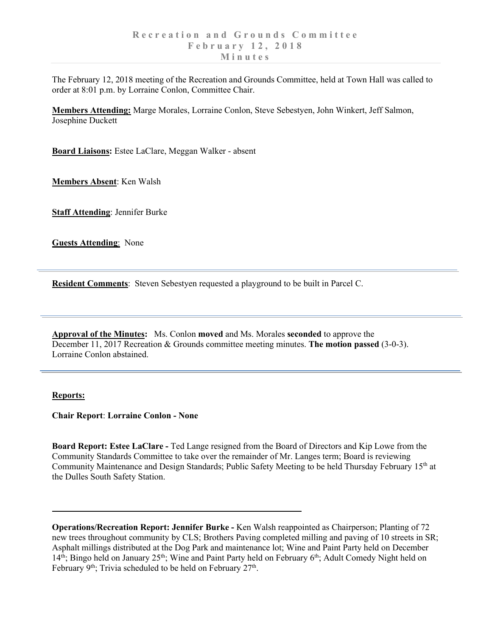The February 12, 2018 meeting of the Recreation and Grounds Committee, held at Town Hall was called to order at 8:01 p.m. by Lorraine Conlon, Committee Chair.

**Members Attending:** Marge Morales, Lorraine Conlon, Steve Sebestyen, John Winkert, Jeff Salmon, Josephine Duckett

**Board Liaisons:** Estee LaClare, Meggan Walker - absent

**Members Absent**: Ken Walsh

**Staff Attending**: Jennifer Burke

**Guests Attending**: None

**Resident Comments**: Steven Sebestyen requested a playground to be built in Parcel C.

**Approval of the Minutes:** Ms. Conlon **moved** and Ms. Morales **seconded** to approve the December 11, 2017 Recreation & Grounds committee meeting minutes. **The motion passed** (3-0-3). Lorraine Conlon abstained.

## **Reports:**

**Chair Report**: **Lorraine Conlon - None**

**Board Report: Estee LaClare -** Ted Lange resigned from the Board of Directors and Kip Lowe from the Community Standards Committee to take over the remainder of Mr. Langes term; Board is reviewing Community Maintenance and Design Standards; Public Safety Meeting to be held Thursday February 15<sup>th</sup> at the Dulles South Safety Station.

**Operations/Recreation Report: Jennifer Burke -** Ken Walsh reappointed as Chairperson; Planting of 72 new trees throughout community by CLS; Brothers Paving completed milling and paving of 10 streets in SR; Asphalt millings distributed at the Dog Park and maintenance lot; Wine and Paint Party held on December  $14<sup>th</sup>$ ; Bingo held on January 25<sup>th</sup>; Wine and Paint Party held on February 6<sup>th</sup>; Adult Comedy Night held on February 9<sup>th</sup>; Trivia scheduled to be held on February 27<sup>th</sup>.